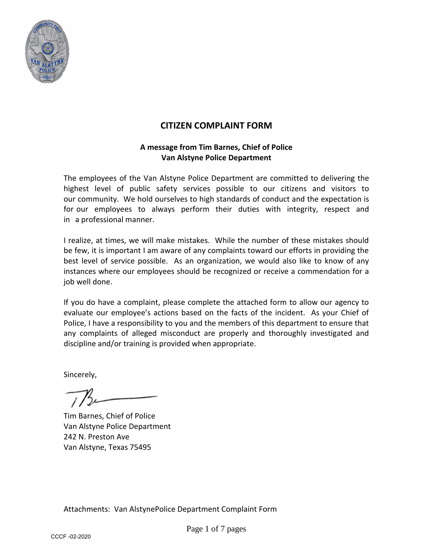

### **CITIZEN COMPLAINT FORM**

#### **A message from Tim Barnes, Chief of Police Van Alstyne Police Department**

The employees of the Van Alstyne Police Department are committed to delivering the highest level of public safety services possible to our citizens and visitors to our community. We hold ourselves to high standards of conduct and the expectation is for our employees to always perform their duties with integrity, respect and in a professional manner.

I realize, at times, we will make mistakes. While the number of these mistakes should be few, it is important I am aware of any complaints toward our efforts in providing the best level of service possible. As an organization, we would also like to know of any instances where our employees should be recognized or receive a commendation for a job well done.

If you do have a complaint, please complete the attached form to allow our agency to evaluate our employee's actions based on the facts of the incident. As your Chief of Police, I have a responsibility to you and the members of this department to ensure that any complaints of alleged misconduct are properly and thoroughly investigated and discipline and/or training is provided when appropriate.

Sincerely,

Tim Barnes, Chief of Police Van Alstyne Police Department 242 N. Preston Ave Van Alstyne, Texas 75495

Attachments: Van AlstynePolice Department Complaint Form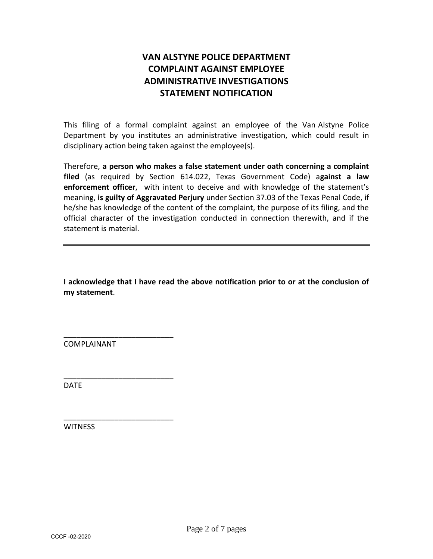# **VAN ALSTYNE POLICE DEPARTMENT COMPLAINT AGAINST EMPLOYEE ADMINISTRATIVE INVESTIGATIONS STATEMENT NOTIFICATION**

This filing of a formal complaint against an employee of the Van Alstyne Police Department by you institutes an administrative investigation, which could result in disciplinary action being taken against the employee(s).

Therefore, **a person who makes a false statement under oath concerning a complaint filed** (as required by Section 614.022, Texas Government Code) a**gainst a law enforcement officer**, with intent to deceive and with knowledge of the statement's meaning, **is guilty of Aggravated Perjury** under Section 37.03 of the Texas Penal Code, if he/she has knowledge of the content of the complaint, the purpose of its filing, and the official character of the investigation conducted in connection therewith, and if the statement is material.

**I acknowledge that I have read the above notification prior to or at the conclusion of my statement**.

COMPLAINANT

\_\_\_\_\_\_\_\_\_\_\_\_\_\_\_\_\_\_\_\_\_\_\_\_\_\_

\_\_\_\_\_\_\_\_\_\_\_\_\_\_\_\_\_\_\_\_\_\_\_\_\_\_

\_\_\_\_\_\_\_\_\_\_\_\_\_\_\_\_\_\_\_\_\_\_\_\_\_\_

DATE

**WITNESS**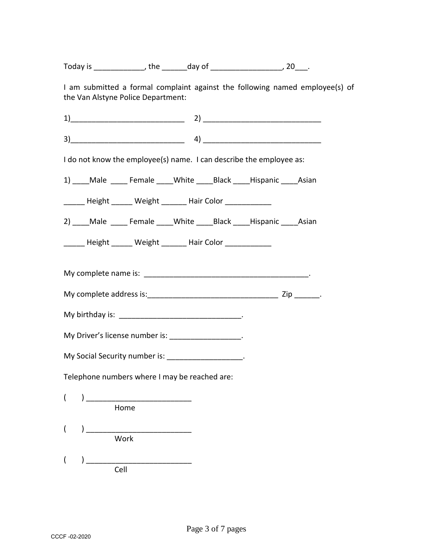Today is \_\_\_\_\_\_\_\_\_\_\_\_\_, the \_\_\_\_\_\_\_ day of \_\_\_\_\_\_\_\_\_\_\_\_\_\_\_\_\_\_\_\_, 20\_\_\_.

I am submitted a formal complaint against the following named employee(s) of the Van Alstyne Police Department:

 $1)$   $2)$   $1$ 

3)\_\_\_\_\_\_\_\_\_\_\_\_\_\_\_\_\_\_\_\_\_\_\_\_\_\_\_ 4) \_\_\_\_\_\_\_\_\_\_\_\_\_\_\_\_\_\_\_\_\_\_\_\_\_\_\_\_

I do not know the employee(s) name. I can describe the employee as:

1) Male Female White Black Hispanic Asian

\_\_\_\_\_\_ Height \_\_\_\_\_\_ Weight \_\_\_\_\_\_ Hair Color \_\_\_\_\_\_\_\_\_\_\_\_

2) \_\_\_\_Male \_\_\_\_\_\_Female \_\_\_\_White \_\_\_\_\_Black \_\_\_\_\_Hispanic \_\_\_\_\_Asian

\_\_\_\_\_ Height \_\_\_\_\_ Weight \_\_\_\_\_ Hair Color \_\_\_\_\_\_\_\_\_\_\_

My complete name is: \_\_\_\_\_\_\_\_\_\_\_\_\_\_\_\_\_\_\_\_\_\_\_\_\_\_\_\_\_\_\_\_\_\_\_\_\_\_\_.

My complete address is:\_\_\_\_\_\_\_\_\_\_\_\_\_\_\_\_\_\_\_\_\_\_\_\_\_\_\_\_\_\_\_ Zip \_\_\_\_\_\_.

My birthday is: \_\_\_\_\_\_\_\_\_\_\_\_\_\_\_\_\_\_\_\_\_\_\_\_\_\_\_\_\_.

My Driver's license number is: \_\_\_\_\_\_\_\_\_\_\_\_\_\_\_\_\_\_.

| My Social Security number is: |  |
|-------------------------------|--|
|                               |  |

Telephone numbers where I may be reached are:

 $($   $)$   $)$  Home ( ) \_\_\_\_\_\_\_\_\_\_\_\_\_\_\_\_\_\_\_\_\_\_\_\_\_ Work

( ) \_\_\_\_\_\_\_\_\_\_\_\_\_\_\_\_\_\_\_\_\_\_\_\_\_ Cell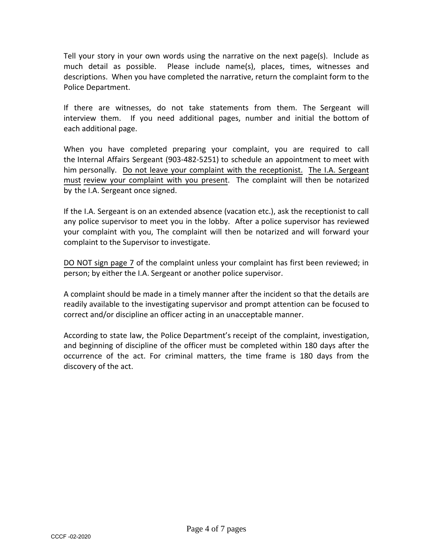Tell your story in your own words using the narrative on the next page(s). Include as much detail as possible. Please include name(s), places, times, witnesses and descriptions. When you have completed the narrative, return the complaint form to the Police Department.

If there are witnesses, do not take statements from them. The Sergeant will interview them. If you need additional pages, number and initial the bottom of each additional page.

When you have completed preparing your complaint, you are required to call the Internal Affairs Sergeant (903-482-5251) to schedule an appointment to meet with him personally. Do not leave your complaint with the receptionist. The I.A. Sergeant must review your complaint with you present. The complaint will then be notarized by the I.A. Sergeant once signed.

If the I.A. Sergeant is on an extended absence (vacation etc.), ask the receptionist to call any police supervisor to meet you in the lobby. After a police supervisor has reviewed your complaint with you, The complaint will then be notarized and will forward your complaint to the Supervisor to investigate.

DO NOT sign page 7 of the complaint unless your complaint has first been reviewed; in person; by either the I.A. Sergeant or another police supervisor.

A complaint should be made in a timely manner after the incident so that the details are readily available to the investigating supervisor and prompt attention can be focused to correct and/or discipline an officer acting in an unacceptable manner.

According to state law, the Police Department's receipt of the complaint, investigation, and beginning of discipline of the officer must be completed within 180 days after the occurrence of the act. For criminal matters, the time frame is 180 days from the discovery of the act.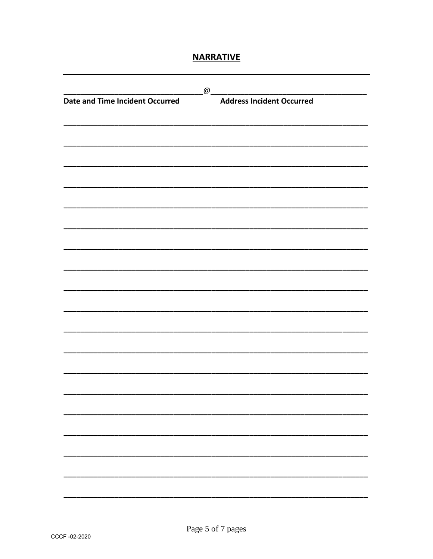## **NARRATIVE**

|                                        | $\omega$ |                                  |
|----------------------------------------|----------|----------------------------------|
| <b>Date and Time Incident Occurred</b> |          | <b>Address Incident Occurred</b> |
|                                        |          |                                  |
|                                        |          |                                  |
|                                        |          |                                  |
|                                        |          |                                  |
|                                        |          |                                  |
|                                        |          |                                  |
|                                        |          |                                  |
|                                        |          |                                  |
|                                        |          |                                  |
|                                        |          |                                  |
|                                        |          |                                  |
|                                        |          |                                  |
|                                        |          |                                  |
|                                        |          |                                  |
|                                        |          |                                  |
|                                        |          |                                  |
|                                        |          |                                  |
|                                        |          |                                  |
|                                        |          |                                  |
|                                        |          |                                  |
|                                        |          |                                  |
|                                        |          |                                  |
|                                        |          |                                  |
|                                        |          |                                  |
|                                        |          |                                  |
|                                        |          |                                  |
|                                        |          |                                  |
|                                        |          |                                  |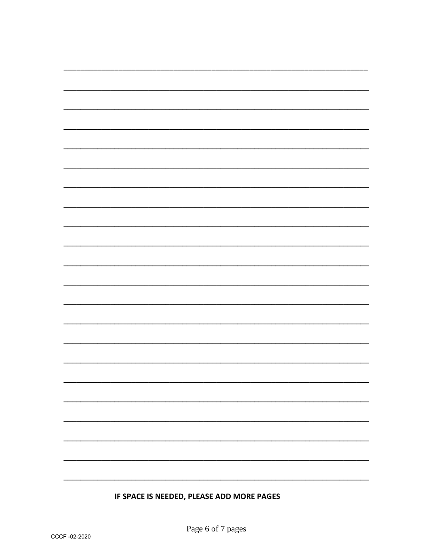# IF SPACE IS NEEDED, PLEASE ADD MORE PAGES

 $\overline{\phantom{0}}$